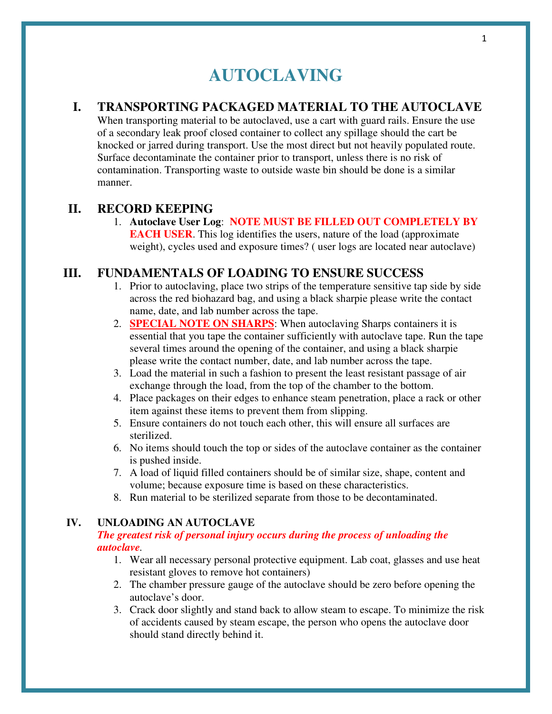# **AUTOCLAVING**

## **I. TRANSPORTING PACKAGED MATERIAL TO THE AUTOCLAVE**

When transporting material to be autoclaved, use a cart with guard rails. Ensure the use of a secondary leak proof closed container to collect any spillage should the cart be knocked or jarred during transport. Use the most direct but not heavily populated route. Surface decontaminate the container prior to transport, unless there is no risk of contamination. Transporting waste to outside waste bin should be done is a similar manner.

## **II. RECORD KEEPING**

### 1. **Autoclave User Log**: **NOTE MUST BE FILLED OUT COMPLETELY BY EACH USER.** This log identifies the users, nature of the load (approximate) weight), cycles used and exposure times? (user logs are located near autoclave)

# **III. FUNDAMENTALS OF LOADING TO ENSURE SUCCESS**

- 1. Prior to autoclaving, place two strips of the temperature sensitive tap side by side across the red biohazard bag, and using a black sharpie please write the contact name, date, and lab number across the tape.
- 2. **SPECIAL NOTE ON SHARPS**: When autoclaving Sharps containers it is essential that you tape the container sufficiently with autoclave tape. Run the tape several times around the opening of the container, and using a black sharpie please write the contact number, date, and lab number across the tape.
- 3. Load the material in such a fashion to present the least resistant passage of air exchange through the load, from the top of the chamber to the bottom.
- 4. Place packages on their edges to enhance steam penetration, place a rack or other item against these items to prevent them from slipping.
- 5. Ensure containers do not touch each other, this will ensure all surfaces are sterilized.
- 6. No items should touch the top or sides of the autoclave container as the container is pushed inside.
- 7. A load of liquid filled containers should be of similar size, shape, content and volume; because exposure time is based on these characteristics.
- 8. Run material to be sterilized separate from those to be decontaminated.

## **IV. UNLOADING AN AUTOCLAVE**

### *The greatest risk of personal injury occurs during the process of unloading the autoclave.*

- 1. Wear all necessary personal protective equipment. Lab coat, glasses and use heat resistant gloves to remove hot containers)
- 2. The chamber pressure gauge of the autoclave should be zero before opening the autoclave's door.
- 3. Crack door slightly and stand back to allow steam to escape. To minimize the risk of accidents caused by steam escape, the person who opens the autoclave door should stand directly behind it.